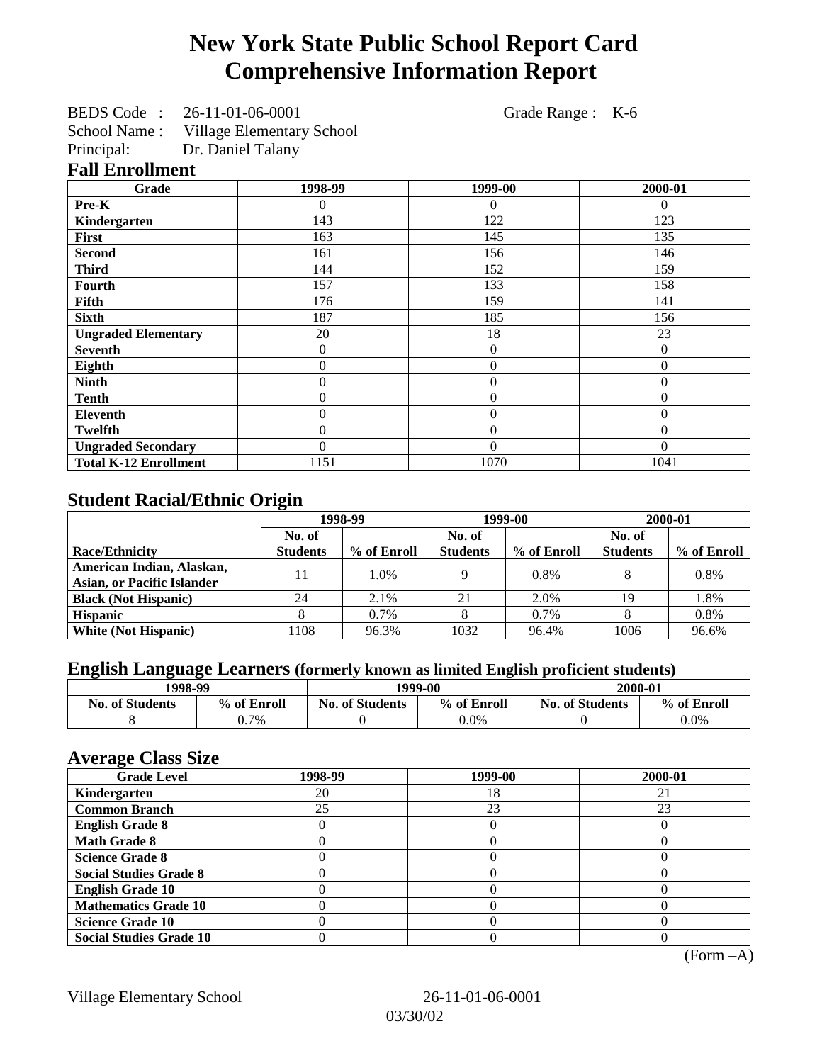# **New York State Public School Report Card Comprehensive Information Report**

| BEDS Code:   | 26-11-01-06-0001          |
|--------------|---------------------------|
| School Name: | Village Elementary School |
| Principal:   | Dr. Daniel Talany         |

Grade Range : K-6

#### **Fall Enrollment**

| Grade                        | 1998-99  | 1999-00        | 2000-01  |
|------------------------------|----------|----------------|----------|
| Pre-K                        | 0        | $\Omega$       | $\theta$ |
| Kindergarten                 | 143      | 122            | 123      |
| <b>First</b>                 | 163      | 145            | 135      |
| <b>Second</b>                | 161      | 156            | 146      |
| <b>Third</b>                 | 144      | 152            | 159      |
| <b>Fourth</b>                | 157      | 133            | 158      |
| Fifth                        | 176      | 159            | 141      |
| <b>Sixth</b>                 | 187      | 185            | 156      |
| <b>Ungraded Elementary</b>   | 20       | 18             | 23       |
| <b>Seventh</b>               | 0        | $\theta$       | 0        |
| Eighth                       | 0        | $\overline{0}$ | $\theta$ |
| <b>Ninth</b>                 | 0        | $\overline{0}$ | 0        |
| <b>Tenth</b>                 | 0        | $\overline{0}$ | $\theta$ |
| <b>Eleventh</b>              | 0        | $\overline{0}$ | $\theta$ |
| <b>Twelfth</b>               | 0        | $\overline{0}$ | $\Omega$ |
| <b>Ungraded Secondary</b>    | $\Omega$ | $\theta$       | $\Omega$ |
| <b>Total K-12 Enrollment</b> | 1151     | 1070           | 1041     |

## **Student Racial/Ethnic Origin**

|                                   | ີ<br>1998-99    |             | 1999-00         |             | 2000-01         |             |
|-----------------------------------|-----------------|-------------|-----------------|-------------|-----------------|-------------|
|                                   | No. of          |             | No. of          |             | No. of          |             |
| <b>Race/Ethnicity</b>             | <b>Students</b> | % of Enroll | <b>Students</b> | % of Enroll | <b>Students</b> | % of Enroll |
| American Indian, Alaskan,         | 11              | 1.0%        |                 | 0.8%        | 8               | 0.8%        |
| <b>Asian, or Pacific Islander</b> |                 |             |                 |             |                 |             |
| <b>Black (Not Hispanic)</b>       | 24              | 2.1%        | 21              | 2.0%        | 19              | 1.8%        |
| <b>Hispanic</b>                   |                 | $0.7\%$     |                 | $0.7\%$     |                 | 0.8%        |
| <b>White (Not Hispanic)</b>       | 108             | 96.3%       | 1032            | 96.4%       | 1006            | 96.6%       |

## **English Language Learners (formerly known as limited English proficient students)**

|                        | 1998-99     |                        | 1999-00     |                        | 2000-01     |
|------------------------|-------------|------------------------|-------------|------------------------|-------------|
| <b>No. of Students</b> | % of Enroll | <b>No. of Students</b> | % of Enroll | <b>No. of Students</b> | % of Enroll |
|                        | 0.7%        |                        | $0.0\%$     |                        | $0.0\%$     |

### **Average Class Size**

| $-7$<br><b>Grade Level</b>     | 1998-99 | 1999-00 | 2000-01 |
|--------------------------------|---------|---------|---------|
| Kindergarten                   | 20      | 18      |         |
| <b>Common Branch</b>           | 25      | 23      | 23      |
| <b>English Grade 8</b>         |         |         |         |
| <b>Math Grade 8</b>            |         |         |         |
| <b>Science Grade 8</b>         |         |         |         |
| <b>Social Studies Grade 8</b>  |         |         |         |
| <b>English Grade 10</b>        |         |         |         |
| <b>Mathematics Grade 10</b>    |         |         |         |
| <b>Science Grade 10</b>        |         |         |         |
| <b>Social Studies Grade 10</b> |         |         |         |

(Form –A)